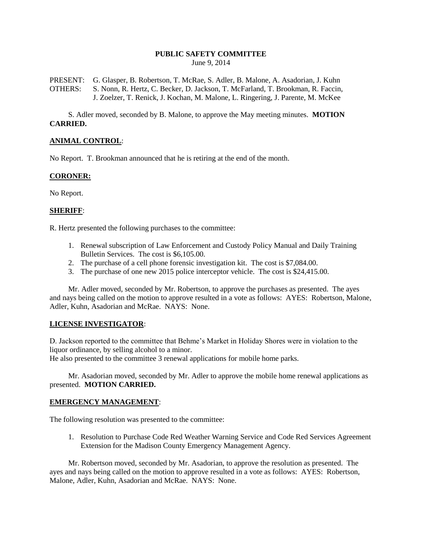#### **PUBLIC SAFETY COMMITTEE** June 9, 2014

PRESENT: G. Glasper, B. Robertson, T. McRae, S. Adler, B. Malone, A. Asadorian, J. Kuhn OTHERS: S. Nonn, R. Hertz, C. Becker, D. Jackson, T. McFarland, T. Brookman, R. Faccin, J. Zoelzer, T. Renick, J. Kochan, M. Malone, L. Ringering, J. Parente, M. McKee

S. Adler moved, seconded by B. Malone, to approve the May meeting minutes. **MOTION CARRIED.**

# **ANIMAL CONTROL**:

No Report. T. Brookman announced that he is retiring at the end of the month.

## **CORONER:**

No Report.

## **SHERIFF**:

R. Hertz presented the following purchases to the committee:

- 1. Renewal subscription of Law Enforcement and Custody Policy Manual and Daily Training Bulletin Services. The cost is \$6,105.00.
- 2. The purchase of a cell phone forensic investigation kit. The cost is \$7,084.00.
- 3. The purchase of one new 2015 police interceptor vehicle. The cost is \$24,415.00.

Mr. Adler moved, seconded by Mr. Robertson, to approve the purchases as presented. The ayes and nays being called on the motion to approve resulted in a vote as follows: AYES: Robertson, Malone, Adler, Kuhn, Asadorian and McRae. NAYS: None.

## **LICENSE INVESTIGATOR**:

D. Jackson reported to the committee that Behme's Market in Holiday Shores were in violation to the liquor ordinance, by selling alcohol to a minor.

He also presented to the committee 3 renewal applications for mobile home parks.

Mr. Asadorian moved, seconded by Mr. Adler to approve the mobile home renewal applications as presented. **MOTION CARRIED.**

#### **EMERGENCY MANAGEMENT**:

The following resolution was presented to the committee:

1. Resolution to Purchase Code Red Weather Warning Service and Code Red Services Agreement Extension for the Madison County Emergency Management Agency.

Mr. Robertson moved, seconded by Mr. Asadorian, to approve the resolution as presented. The ayes and nays being called on the motion to approve resulted in a vote as follows: AYES: Robertson, Malone, Adler, Kuhn, Asadorian and McRae. NAYS: None.